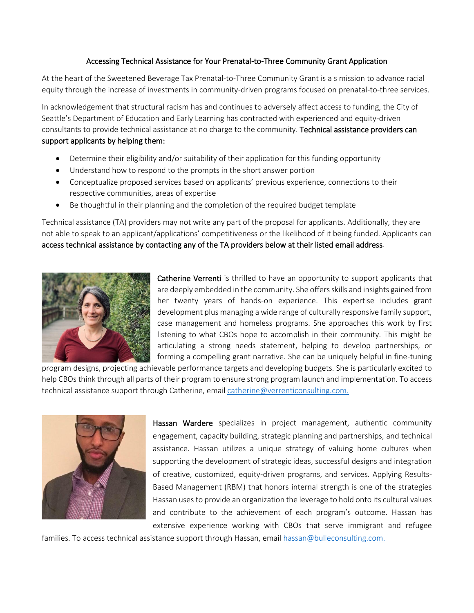## Accessing Technical Assistance for Your Prenatal-to-Three Community Grant Application

At the heart of the Sweetened Beverage Tax Prenatal-to-Three Community Grant is a s mission to advance racial equity through the increase of investments in community-driven programs focused on prenatal-to-three services.

In acknowledgement that structural racism has and continues to adversely affect access to funding, the City of Seattle's Department of Education and Early Learning has contracted with experienced and equity-driven consultants to provide technical assistance at no charge to the community. Technical assistance providers can support applicants by helping them:

- Determine their eligibility and/or suitability of their application for this funding opportunity
- Understand how to respond to the prompts in the short answer portion
- Conceptualize proposed services based on applicants' previous experience, connections to their respective communities, areas of expertise
- Be thoughtful in their planning and the completion of the required budget template

Technical assistance (TA) providers may not write any part of the proposal for applicants. Additionally, they are not able to speak to an applicant/applications' competitiveness or the likelihood of it being funded. Applicants can access technical assistance by contacting any of the TA providers below at their listed email address.



Catherine Verrenti is thrilled to have an opportunity to support applicants that are deeply embedded in the community. She offers skills and insights gained from her twenty years of hands-on experience. This expertise includes grant development plus managing a wide range of culturally responsive family support, case management and homeless programs. She approaches this work by first listening to what CBOs hope to accomplish in their community. This might be articulating a strong needs statement, helping to develop partnerships, or forming a compelling grant narrative. She can be uniquely helpful in fine-tuning

program designs, projecting achievable performance targets and developing budgets. She is particularly excited to help CBOs think through all parts of their program to ensure strong program launch and implementation. To access technical assistance support through Catherine, email [catherine@verrenticonsulting.com.](mailto:catherine@verrenticonsulting.com)



Hassan Wardere specializes in project management, authentic community engagement, capacity building, strategic planning and partnerships, and technical assistance. Hassan utilizes a unique strategy of valuing home cultures when supporting the development of strategic ideas, successful designs and integration of creative, customized, equity-driven programs, and services. Applying Results-Based Management (RBM) that honors internal strength is one of the strategies Hassan usesto provide an organization the leverage to hold onto its cultural values and contribute to the achievement of each program's outcome. Hassan has extensive experience working with CBOs that serve immigrant and refugee

families. To access technical assistance support through Hassan, email [hassan@bulleconsulting.com.](mailto:hassan@bulleconsulting.com)